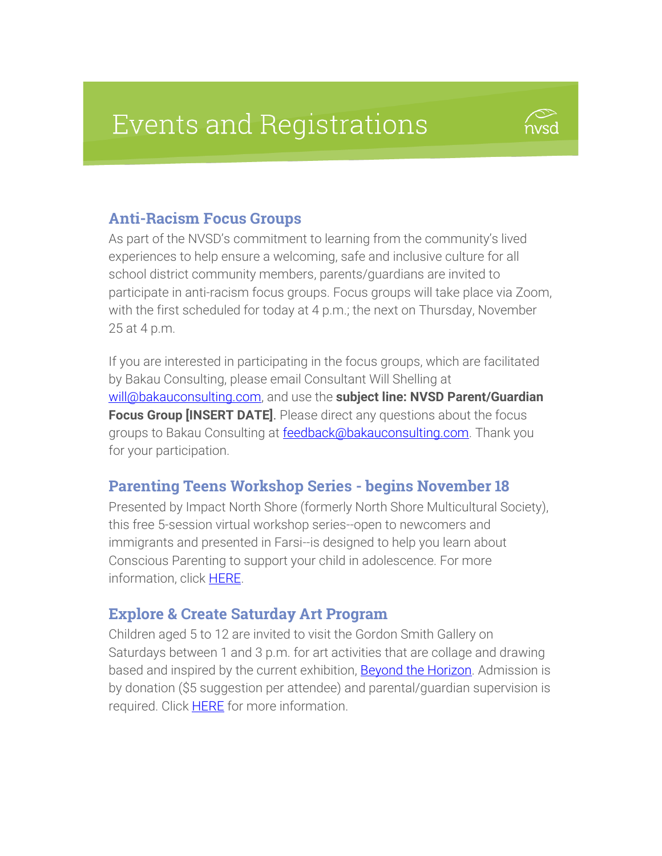# **Events and Registrations**



#### Anti-Racism Focus Groups

As part of the NVSD's commitment to learning from the community's lived experiences to help ensure a welcoming, safe and inclusive culture for all school district community members, parents/guardians are invited to participate in anti-racism focus groups. Focus groups will take place via Zoom, with the first scheduled for today at 4 p.m.; the next on Thursday, November 25 at 4 p.m.

If you are interested in participating in the focus groups, which are facilitated by Bakau Consulting, please email Consultant Will Shelling at [will@bakauconsulting.com,](mailto:will@bakauconsulting.com) and use the **subject line: NVSD Parent/Guardian Focus Group [INSERT DATE]**. Please direct any questions about the focus groups to Bakau Consulting at [feedback@bakauconsulting.com.](mailto:feedback@bakauconsulting.com) Thank you for your participation.

#### Parenting Teens Workshop Series - begins November 18

Presented by Impact North Shore (formerly North Shore Multicultural Society), this free 5-session virtual workshop series--open to newcomers and immigrants and presented in Farsi--is designed to help you learn about Conscious Parenting to support your child in adolescence. For more information, click [HERE.](https://impactnorthshore.ca/our-workshops/parenting-teens/)

#### Explore & Create Saturday Art Program

Children aged 5 to 12 are invited to visit the Gordon Smith Gallery on Saturdays between 1 and 3 p.m. for art activities that are collage and drawing based and inspired by the current exhibition, **Beyond the Horizon**. Admission is by donation (\$5 suggestion per attendee) and parental/guardian supervision is required. Click **HERE** for more information.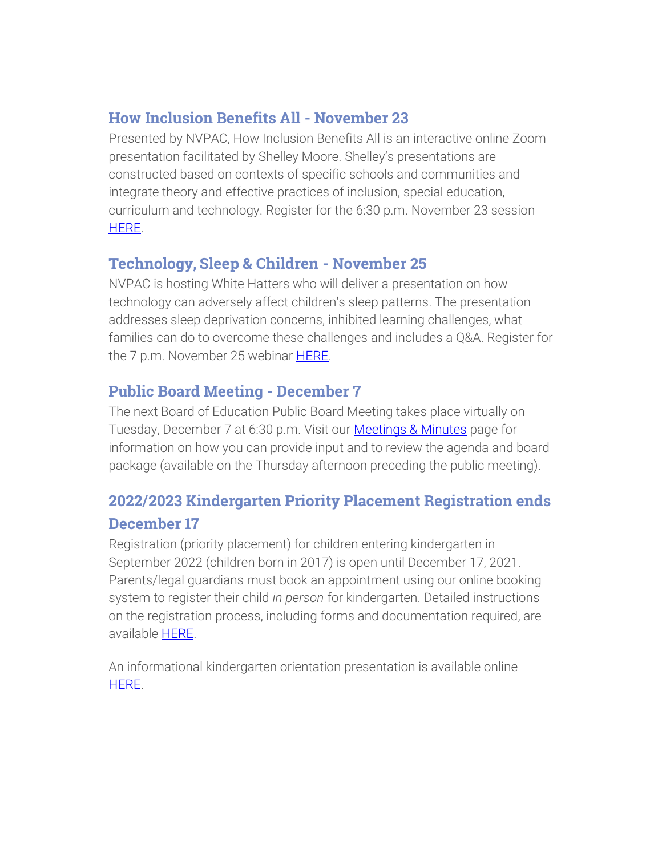#### How Inclusion Benefits All - November 23

Presented by NVPAC, How Inclusion Benefits All is an interactive online Zoom presentation facilitated by Shelley Moore. Shelley's presentations are constructed based on contexts of specific schools and communities and integrate theory and effective practices of inclusion, special education, curriculum and technology. Register for the 6:30 p.m. November 23 session [HERE.](https://www.eventbrite.ca/e/shelley-moore-tickets-199480309977)

### Technology, Sleep & Children - November 25

NVPAC is hosting White Hatters who will deliver a presentation on how technology can adversely affect children's sleep patterns. The presentation addresses sleep deprivation concerns, inhibited learning challenges, what families can do to overcome these challenges and includes a Q&A. Register for the 7 p.m. November 25 webinar **HERE**.

## Public Board Meeting - December 7

The next Board of Education Public Board Meeting takes place virtually on Tuesday, December 7 at 6:30 p.m. Visit our [Meetings & Minutes](https://www.sd44.ca/Board/Meetings/Pages/default.aspx#/=) page for information on how you can provide input and to review the agenda and board package (available on the Thursday afternoon preceding the public meeting).

## 2022/2023 Kindergarten Priority Placement Registration ends December 17

Registration (priority placement) for children entering kindergarten in September 2022 (children born in 2017) is open until December 17, 2021. Parents/legal guardians must book an appointment using our online booking system to register their child *in person* for kindergarten. Detailed instructions on the registration process, including forms and documentation required, are available [HERE.](https://www.sd44.ca/Schools/StudentRegistration/KindergartenRegistration/Pages/default.aspx#/=)

An informational kindergarten orientation presentation is available online [HERE.](https://www.sd44.ca/ProgramsServices/earlylearning/kindergarten/Pages/default.aspx#/=)